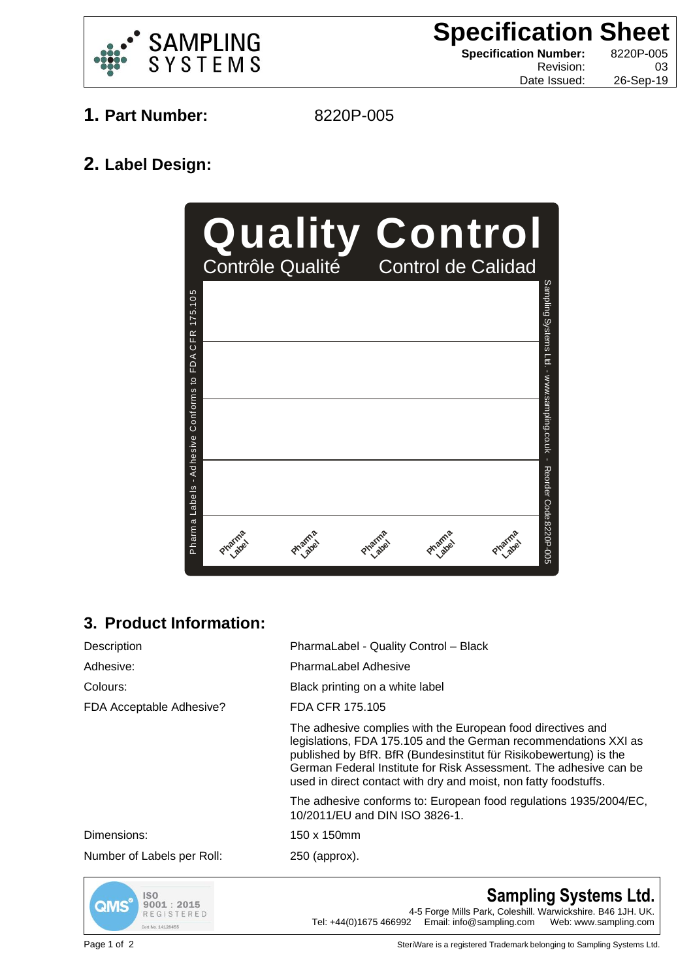

**Specification Sheet Specification Number:** 8220P-005 Revision: 03

Date Issued: 26-Sep-19

- **1. Part Number:** 8220P-005
	-

## **2. Label Design:**



## **3. Product Information:**

| Description                | PharmaLabel - Quality Control - Black                                                                                                                                                                                                                                                                                                        |
|----------------------------|----------------------------------------------------------------------------------------------------------------------------------------------------------------------------------------------------------------------------------------------------------------------------------------------------------------------------------------------|
| Adhesive:                  | <b>PharmaLabel Adhesive</b>                                                                                                                                                                                                                                                                                                                  |
| Colours:                   | Black printing on a white label                                                                                                                                                                                                                                                                                                              |
| FDA Acceptable Adhesive?   | FDA CFR 175.105                                                                                                                                                                                                                                                                                                                              |
|                            | The adhesive complies with the European food directives and<br>legislations, FDA 175.105 and the German recommendations XXI as<br>published by BfR. BfR (Bundesinstitut für Risikobewertung) is the<br>German Federal Institute for Risk Assessment. The adhesive can be<br>used in direct contact with dry and moist, non fatty foodstuffs. |
|                            | The adhesive conforms to: European food regulations 1935/2004/EC,<br>10/2011/EU and DIN ISO 3826-1.                                                                                                                                                                                                                                          |
| Dimensions:                | 150 x 150mm                                                                                                                                                                                                                                                                                                                                  |
| Number of Labels per Roll: | 250 (approx).                                                                                                                                                                                                                                                                                                                                |



**Sampling Systems Ltd.** 4-5 Forge Mills Park, Coleshill. Warwickshire. B46 1JH. UK. Tel: +44(0)1675 466992 Email: info@sampling.com Web: www.sampling.com